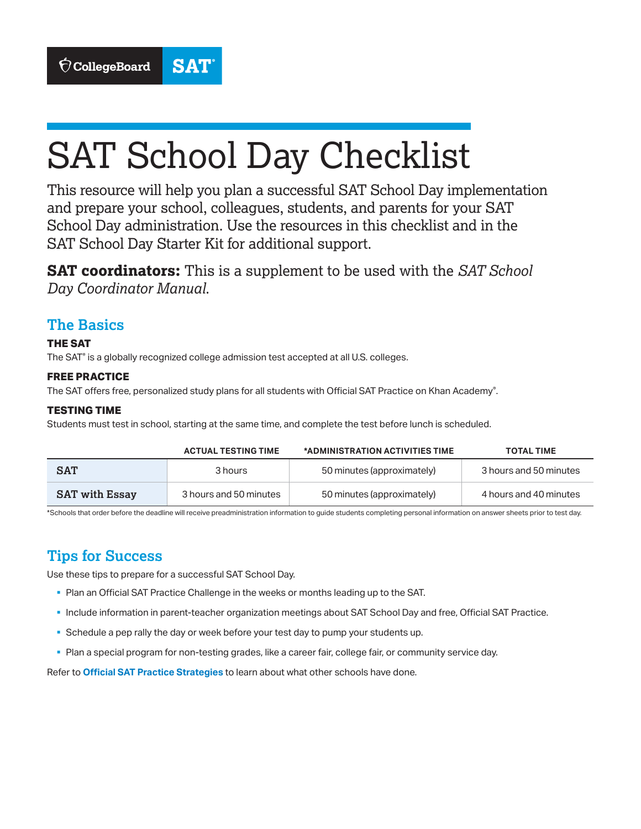

# SAT School Day Checklist

This resource will help you plan a successful SAT School Day implementation and prepare your school, colleagues, students, and parents for your SAT School Day administration. Use the resources in this checklist and in the SAT School Day Starter Kit for additional support.

**SAT coordinators:** This is a supplement to be used with the *SAT School Day Coordinator Manual*.

### **The Basics**

#### **THE SAT**

The SAT® is a globally recognized college admission test accepted at all U.S. colleges.

#### **FREE PRACTICE**

The SAT offers free, personalized study plans for all students with Official SAT Practice on Khan Academy®.

#### **TESTING TIME**

Students must test in school, starting at the same time, and complete the test before lunch is scheduled.

|                       | <b>ACTUAL TESTING TIME</b> | *ADMINISTRATION ACTIVITIES TIME | <b>TOTAL TIME</b>      |
|-----------------------|----------------------------|---------------------------------|------------------------|
| <b>SAT</b>            | 3 hours                    | 50 minutes (approximately)      | 3 hours and 50 minutes |
| <b>SAT</b> with Essay | 3 hours and 50 minutes     | 50 minutes (approximately)      | 4 hours and 40 minutes |

\*Schools that order before the deadline will receive preadministration information to guide students completing personal information on answer sheets prior to test day.

## **Tips for Success**

Use these tips to prepare for a successful SAT School Day.

- § Plan an Official SAT Practice Challenge in the weeks or months leading up to the SAT.
- § Include information in parent-teacher organization meetings about SAT School Day and free, Official SAT Practice.
- § Schedule a pep rally the day or week before your test day to pump your students up.
- § Plan a special program for non-testing grades, like a career fair, college fair, or community service day.

Refer to **[Official SAT Practice Strategies](https://collegereadiness.collegeboard.org/pdf/official-sat-practice-strategies-brochure.pdf)** to learn about what other schools have done.